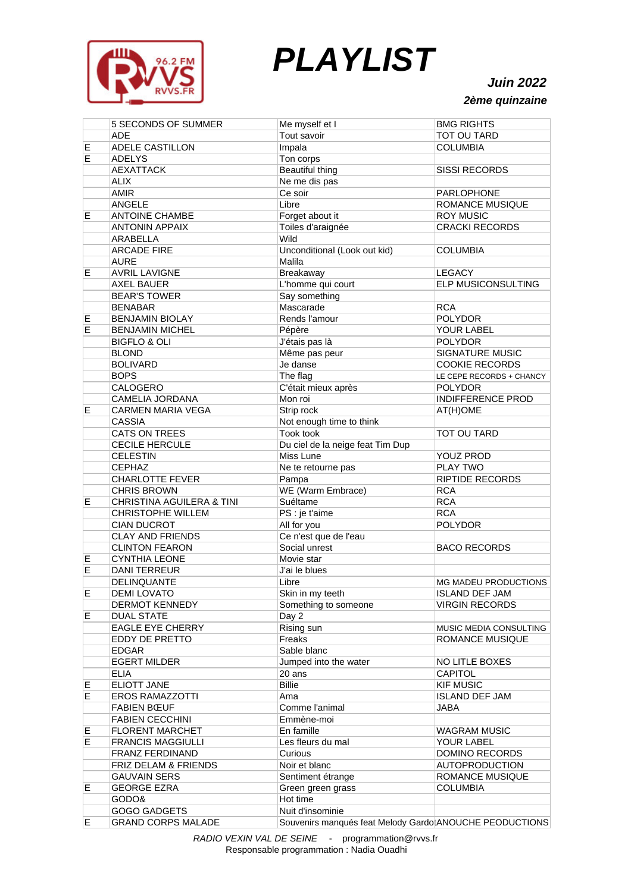

## *PLAYLIST*

*Juin 2022 2ème quinzaine*

|    | <b>5 SECONDS OF SUMMER</b> | Me myself et I                                          | <b>BMG RIGHTS</b>           |
|----|----------------------------|---------------------------------------------------------|-----------------------------|
|    | <b>ADE</b>                 | Tout savoir                                             | TOT OU TARD                 |
| E  | ADELE CASTILLON            | Impala                                                  | <b>COLUMBIA</b>             |
| ΙE | <b>ADELYS</b>              | Ton corps                                               |                             |
|    | <b>AEXATTACK</b>           | <b>Beautiful thing</b>                                  | <b>SISSI RECORDS</b>        |
|    | <b>ALIX</b>                | Ne me dis pas                                           |                             |
|    | AMIR                       | Ce soir                                                 | PARLOPHONE                  |
|    |                            | Libre                                                   |                             |
|    | ANGELE                     |                                                         | ROMANCE MUSIQUE             |
| E  | <b>ANTOINE CHAMBE</b>      | Forget about it                                         | <b>ROY MUSIC</b>            |
|    | <b>ANTONIN APPAIX</b>      | Toiles d'araignée                                       | <b>CRACKI RECORDS</b>       |
|    | ARABELLA                   | Wild                                                    |                             |
|    | <b>ARCADE FIRE</b>         | Unconditional (Look out kid)                            | <b>COLUMBIA</b>             |
|    | <b>AURE</b>                | Malila                                                  |                             |
| E  | <b>AVRIL LAVIGNE</b>       | Breakaway                                               | <b>LEGACY</b>               |
|    | <b>AXEL BAUER</b>          | L'homme qui court                                       | ELP MUSICONSULTING          |
|    | <b>BEAR'S TOWER</b>        | Say something                                           |                             |
|    | <b>BENABAR</b>             | Mascarade                                               | <b>RCA</b>                  |
| E  | <b>BENJAMIN BIOLAY</b>     | Rends l'amour                                           | <b>POLYDOR</b>              |
| ΙE | <b>BENJAMIN MICHEL</b>     | Pépère                                                  | YOUR LABEL                  |
|    | <b>BIGFLO &amp; OLI</b>    | J'étais pas là                                          | <b>POLYDOR</b>              |
|    | <b>BLOND</b>               | Même pas peur                                           | SIGNATURE MUSIC             |
|    | <b>BOLIVARD</b>            | Je danse                                                | <b>COOKIE RECORDS</b>       |
|    | <b>BOPS</b>                | The flag                                                | LE CEPE RECORDS + CHANCY    |
|    | CALOGERO                   | C'était mieux après                                     | <b>POLYDOR</b>              |
|    | CAMELIA JORDANA            | Mon roi                                                 | <b>INDIFFERENCE PROD</b>    |
| Е  | <b>CARMEN MARIA VEGA</b>   | Strip rock                                              | AT(H)OME                    |
|    | CASSIA                     | Not enough time to think                                |                             |
|    | CATS ON TREES              | Took took                                               | TOT OU TARD                 |
|    | CECILE HERCULE             | Du ciel de la neige feat Tim Dup                        |                             |
|    | <b>CELESTIN</b>            | Miss Lune                                               | <b>YOUZ PROD</b>            |
|    | <b>CEPHAZ</b>              | Ne te retourne pas                                      | <b>PLAY TWO</b>             |
|    | <b>CHARLOTTE FEVER</b>     | Pampa                                                   | <b>RIPTIDE RECORDS</b>      |
|    | <b>CHRIS BROWN</b>         | WE (Warm Embrace)                                       | <b>RCA</b>                  |
| E  | CHRISTINA AGUILERA & TINI  | Suéltame                                                | <b>RCA</b>                  |
|    | <b>CHRISTOPHE WILLEM</b>   | PS : je t'aime                                          | <b>RCA</b>                  |
|    | <b>CIAN DUCROT</b>         | All for you                                             | <b>POLYDOR</b>              |
|    | <b>CLAY AND FRIENDS</b>    | Ce n'est que de l'eau                                   |                             |
|    | <b>CLINTON FEARON</b>      | Social unrest                                           | <b>BACO RECORDS</b>         |
| Ε  | <b>CYNTHIA LEONE</b>       | Movie star                                              |                             |
| Е  | <b>DANI TERREUR</b>        | J'ai le blues                                           |                             |
|    | DELINQUANTE                | Libre                                                   | <b>MG MADEU PRODUCTIONS</b> |
| Е  | <b>DEMI LOVATO</b>         | Skin in my teeth                                        | <b>ISLAND DEF JAM</b>       |
|    | DERMOT KENNEDY             | Something to someone                                    | <b>VIRGIN RECORDS</b>       |
| E  | <b>DUAL STATE</b>          | Day 2                                                   |                             |
|    | <b>EAGLE EYE CHERRY</b>    | Rising sun                                              | MUSIC MEDIA CONSULTING      |
|    | <b>EDDY DE PRETTO</b>      | Freaks                                                  | <b>ROMANCE MUSIQUE</b>      |
|    | <b>EDGAR</b>               | Sable blanc                                             |                             |
|    | <b>EGERT MILDER</b>        | Jumped into the water                                   | NO LITLE BOXES              |
|    | <b>ELIA</b>                | 20 ans                                                  | <b>CAPITOL</b>              |
| E  | <b>ELIOTT JANE</b>         | <b>Billie</b>                                           | <b>KIF MUSIC</b>            |
| Е  | <b>EROS RAMAZZOTTI</b>     | Ama                                                     | <b>ISLAND DEF JAM</b>       |
|    | <b>FABIEN BŒUF</b>         | Comme l'animal                                          | <b>JABA</b>                 |
|    | <b>FABIEN CECCHINI</b>     | Emmène-moi                                              |                             |
| E  | <b>FLORENT MARCHET</b>     | En famille                                              | <b>WAGRAM MUSIC</b>         |
| Е  | <b>FRANCIS MAGGIULLI</b>   | Les fleurs du mal                                       | YOUR LABEL                  |
|    | <b>FRANZ FERDINAND</b>     | Curious                                                 | DOMINO RECORDS              |
|    | FRIZ DELAM & FRIENDS       | Noir et blanc                                           | <b>AUTOPRODUCTION</b>       |
|    | <b>GAUVAIN SERS</b>        | Sentiment étrange                                       | ROMANCE MUSIQUE             |
| Е  | <b>GEORGE EZRA</b>         | Green green grass                                       | <b>COLUMBIA</b>             |
|    | GODO&                      | Hot time                                                |                             |
|    | GOGO GADGETS               | Nuit d'insominie                                        |                             |
| Е  | <b>GRAND CORPS MALADE</b>  | Souvenirs manqués feat Melody Gardo ANOUCHE PEODUCTIONS |                             |
|    |                            |                                                         |                             |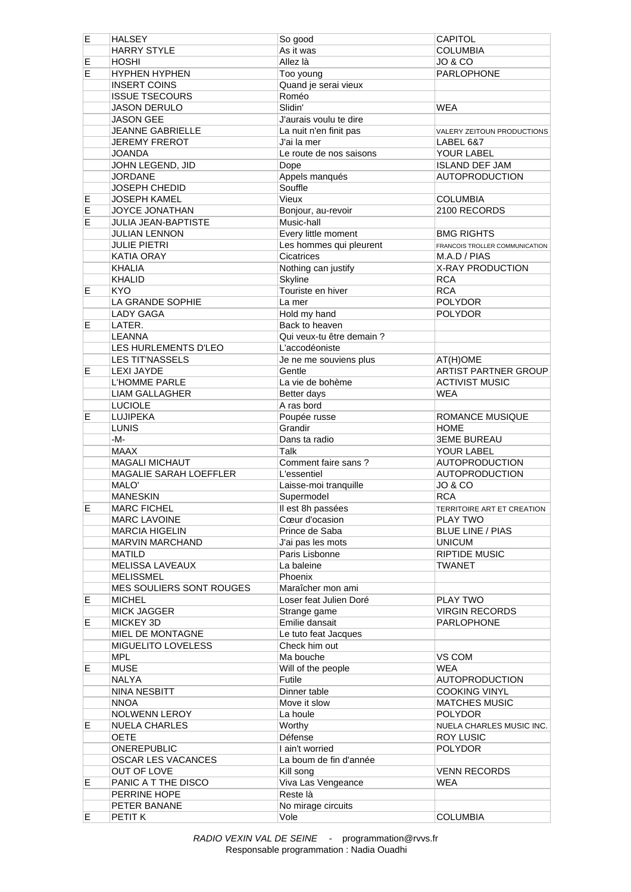| Е  | <b>HALSEY</b>              | So good                      | <b>CAPITOL</b>                 |
|----|----------------------------|------------------------------|--------------------------------|
|    | <b>HARRY STYLE</b>         | As it was                    | <b>COLUMBIA</b>                |
| Ε  | <b>HOSHI</b>               | Allez là                     | JO & CO                        |
| E  | <b>HYPHEN HYPHEN</b>       | Too young                    | <b>PARLOPHONE</b>              |
|    | <b>INSERT COINS</b>        | Quand je serai vieux         |                                |
|    | <b>ISSUE TSECOURS</b>      | Roméo                        |                                |
|    | <b>JASON DERULO</b>        | Slidin'                      | <b>WEA</b>                     |
|    | <b>JASON GEE</b>           | J'aurais voulu te dire       |                                |
|    | JEANNE GABRIELLE           | La nuit n'en finit pas       | VALERY ZEITOUN PRODUCTIONS     |
|    | <b>JEREMY FREROT</b>       | J'ai la mer                  | <b>LABEL 6&amp;7</b>           |
|    | <b>JOANDA</b>              | Le route de nos saisons      | YOUR LABEL                     |
|    | JOHN LEGEND, JID           | Dope                         | <b>ISLAND DEF JAM</b>          |
|    | <b>JORDANE</b>             | Appels manqués               | <b>AUTOPRODUCTION</b>          |
|    | JOSEPH CHEDID              | Souffle                      |                                |
|    | <b>JOSEPH KAMEL</b>        | Vieux                        | <b>COLUMBIA</b>                |
| Е  |                            |                              |                                |
| Ε  | <b>JOYCE JONATHAN</b>      | Bonjour, au-revoir           | 2100 RECORDS                   |
| E  | <b>JULIA JEAN-BAPTISTE</b> | Music-hall                   |                                |
|    | <b>JULIAN LENNON</b>       | Every little moment          | <b>BMG RIGHTS</b>              |
|    | <b>JULIE PIETRI</b>        | Les hommes qui pleurent      | FRANCOIS TROLLER COMMUNICATION |
|    | KATIA ORAY                 | Cicatrices                   | M.A.D / PIAS                   |
|    | <b>KHALIA</b>              | Nothing can justify          | X-RAY PRODUCTION               |
|    | <b>KHALID</b>              | Skyline                      | <b>RCA</b>                     |
| Е  | <b>KYO</b>                 | Touriste en hiver            | <b>RCA</b>                     |
|    | LA GRANDE SOPHIE           | La mer                       | <b>POLYDOR</b>                 |
|    | <b>LADY GAGA</b>           | Hold my hand                 | <b>POLYDOR</b>                 |
| E  | LATER.                     | Back to heaven               |                                |
|    | LEANNA                     | Qui veux-tu être demain ?    |                                |
|    | LES HURLEMENTS D'LEO       | L'accodéoniste               |                                |
|    | <b>LES TIT'NASSELS</b>     | Je ne me souviens plus       | AT(H)OME                       |
| Е  | <b>LEXI JAYDE</b>          | Gentle                       | ARTIST PARTNER GROUP           |
|    | L'HOMME PARLE              | La vie de bohème             | <b>ACTIVIST MUSIC</b>          |
|    | <b>LIAM GALLAGHER</b>      | Better days                  | <b>WEA</b>                     |
|    | <b>LUCIOLE</b>             | A ras bord                   |                                |
| Е  | <b>LUJIPEKA</b>            | Poupée russe                 | ROMANCE MUSIQUE                |
|    | <b>LUNIS</b>               | Grandir                      | <b>HOME</b>                    |
|    | $-M-$                      | Dans ta radio                | <b>3EME BUREAU</b>             |
|    | <b>MAAX</b>                | Talk                         | YOUR LABEL                     |
|    | <b>MAGALI MICHAUT</b>      | Comment faire sans?          | <b>AUTOPRODUCTION</b>          |
|    | MAGALIE SARAH LOEFFLER     | L'essentiel                  | <b>AUTOPRODUCTION</b>          |
|    | MALO'                      | Laisse-moi tranquille        | JO & CO                        |
|    | <b>MANESKIN</b>            | Supermodel                   | RCA                            |
| E  | <b>MARC FICHEL</b>         | Il est 8h passées            | TERRITOIRE ART ET CREATION     |
|    | <b>MARC LAVOINE</b>        | Cœur d'ocasion               | PLAY TWO                       |
|    | <b>MARCIA HIGELIN</b>      | Prince de Saba               | <b>BLUE LINE / PIAS</b>        |
|    | MARVIN MARCHAND            | J'ai pas les mots            | <b>UNICUM</b>                  |
|    | <b>MATILD</b>              | Paris Lisbonne               | <b>RIPTIDE MUSIC</b>           |
|    | <b>MELISSA LAVEAUX</b>     | La baleine                   | <b>TWANET</b>                  |
|    | <b>MELISSMEL</b>           |                              |                                |
|    | MES SOULIERS SONT ROUGES   | Phoenix<br>Maraîcher mon ami |                                |
| Е  | <b>MICHEL</b>              | Loser feat Julien Doré       | PLAY TWO                       |
|    | <b>MICK JAGGER</b>         | Strange game                 | <b>VIRGIN RECORDS</b>          |
| Е  | MICKEY 3D                  | Emilie dansait               | <b>PARLOPHONE</b>              |
|    | MIEL DE MONTAGNE           |                              |                                |
|    |                            | Le tuto feat Jacques         |                                |
|    | MIGUELITO LOVELESS         | Check him out                |                                |
|    | <b>MPL</b>                 | Ma bouche                    | VS COM<br><b>WEA</b>           |
| E. | <b>MUSE</b>                | Will of the people           |                                |
|    | NALYA                      | Futile                       | <b>AUTOPRODUCTION</b>          |
|    | NINA NESBITT               | Dinner table                 | <b>COOKING VINYL</b>           |
|    | <b>NNOA</b>                | Move it slow                 | <b>MATCHES MUSIC</b>           |
|    | <b>NOLWENN LEROY</b>       | La houle                     | <b>POLYDOR</b>                 |
| Е  | <b>NUELA CHARLES</b>       | Worthy                       | NUELA CHARLES MUSIC INC.       |
|    | <b>OETE</b>                | Défense                      | <b>ROY LUSIC</b>               |
|    | ONEREPUBLIC                | I ain't worried              | <b>POLYDOR</b>                 |
|    | OSCAR LES VACANCES         | La boum de fin d'année       |                                |
|    | OUT OF LOVE                | Kill song                    | <b>VENN RECORDS</b>            |
| Е  | PANIC A T THE DISCO        | Viva Las Vengeance           | WEA                            |
|    | PERRINE HOPE               | Reste là                     |                                |
|    | PETER BANANE               | No mirage circuits           |                                |
| E. | PETIT K                    | Vole                         | <b>COLUMBIA</b>                |